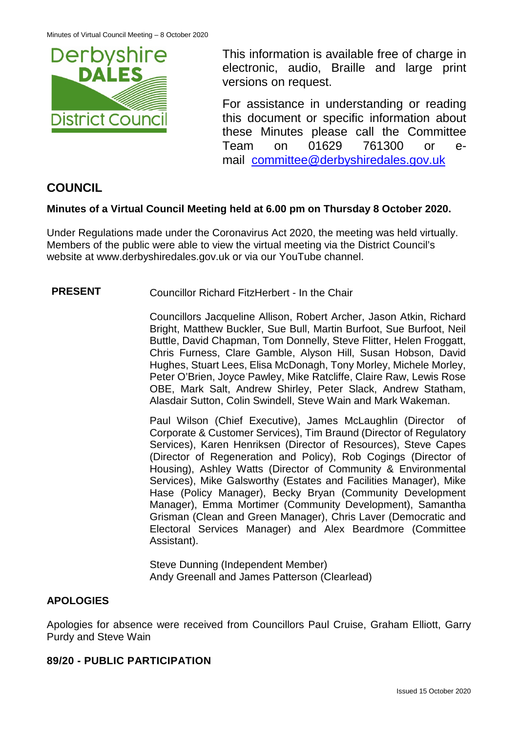

This information is available free of charge in electronic, audio, Braille and large print versions on request.

For assistance in understanding or reading this document or specific information about these Minutes please call the Committee Team on 01629 761300 or email [committee@derbyshiredales.gov.uk](mailto:brian.evans@derbyshiredales.gov.uk) 

# **COUNCIL**

# **Minutes of a Virtual Council Meeting held at 6.00 pm on Thursday 8 October 2020.**

Under Regulations made under the Coronavirus Act 2020, the meeting was held virtually. Members of the public were able to view the virtual meeting via the District Council's website at [www.derbyshiredales.gov.uk](http://www.derbyshiredales.gov.uk/) or via our YouTube channel.

**PRESENT** Councillor Richard FitzHerbert - In the Chair

Councillors Jacqueline Allison, Robert Archer, Jason Atkin, Richard Bright, Matthew Buckler, Sue Bull, Martin Burfoot, Sue Burfoot, Neil Buttle, David Chapman, Tom Donnelly, Steve Flitter, Helen Froggatt, Chris Furness, Clare Gamble, Alyson Hill, Susan Hobson, David Hughes, Stuart Lees, Elisa McDonagh, Tony Morley, Michele Morley, Peter O'Brien, Joyce Pawley, Mike Ratcliffe, Claire Raw, Lewis Rose OBE, Mark Salt, Andrew Shirley, Peter Slack, Andrew Statham, Alasdair Sutton, Colin Swindell, Steve Wain and Mark Wakeman.

Paul Wilson (Chief Executive), James McLaughlin (Director of Corporate & Customer Services), Tim Braund (Director of Regulatory Services), Karen Henriksen (Director of Resources), Steve Capes (Director of Regeneration and Policy), Rob Cogings (Director of Housing), Ashley Watts (Director of Community & Environmental Services), Mike Galsworthy (Estates and Facilities Manager), Mike Hase (Policy Manager), Becky Bryan (Community Development Manager), Emma Mortimer (Community Development), Samantha Grisman (Clean and Green Manager), Chris Laver (Democratic and Electoral Services Manager) and Alex Beardmore (Committee Assistant).

Steve Dunning (Independent Member) Andy Greenall and James Patterson (Clearlead)

# **APOLOGIES**

Apologies for absence were received from Councillors Paul Cruise, Graham Elliott, Garry Purdy and Steve Wain

# **89/20 - PUBLIC PARTICIPATION**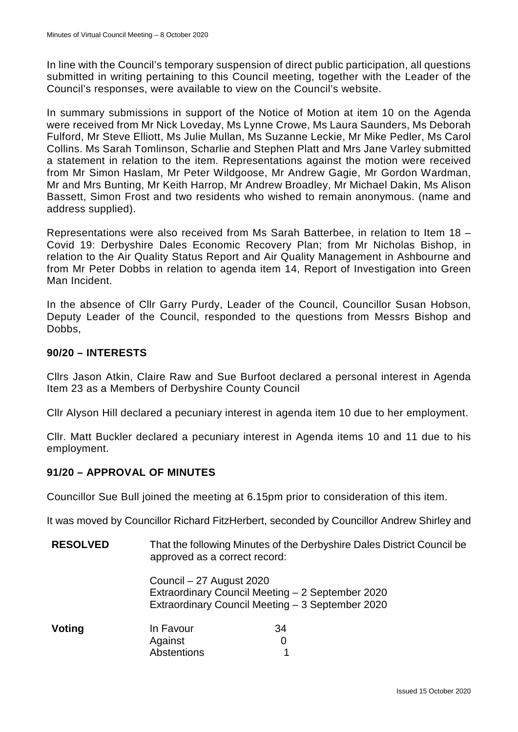In line with the Council's temporary suspension of direct public participation, all questions submitted in writing pertaining to this Council meeting, together with the Leader of the Council's responses, were available to view on the Council's website.

In summary submissions in support of the Notice of Motion at item 10 on the Agenda were received from Mr Nick Loveday, Ms Lynne Crowe, Ms Laura Saunders, Ms Deborah Fulford, Mr Steve Elliott, Ms Julie Mullan, Ms Suzanne Leckie, Mr Mike Pedler, Ms Carol Collins. Ms Sarah Tomlinson, Scharlie and Stephen Platt and Mrs Jane Varley submitted a statement in relation to the item. Representations against the motion were received from Mr Simon Haslam, Mr Peter Wildgoose, Mr Andrew Gagie, Mr Gordon Wardman, Mr and Mrs Bunting, Mr Keith Harrop, Mr Andrew Broadley, Mr Michael Dakin, Ms Alison Bassett, Simon Frost and two residents who wished to remain anonymous. (name and address supplied).

Representations were also received from Ms Sarah Batterbee, in relation to Item 18 – Covid 19: Derbyshire Dales Economic Recovery Plan; from Mr Nicholas Bishop, in relation to the Air Quality Status Report and Air Quality Management in Ashbourne and from Mr Peter Dobbs in relation to agenda item 14, Report of Investigation into Green Man Incident.

In the absence of Cllr Garry Purdy, Leader of the Council, Councillor Susan Hobson, Deputy Leader of the Council, responded to the questions from Messrs Bishop and Dobbs.

# **90/20 – INTERESTS**

Cllrs Jason Atkin, Claire Raw and Sue Burfoot declared a personal interest in Agenda Item 23 as a Members of Derbyshire County Council

Cllr Alyson Hill declared a pecuniary interest in agenda item 10 due to her employment.

Cllr. Matt Buckler declared a pecuniary interest in Agenda items 10 and 11 due to his employment.

# **91/20 – APPROVAL OF MINUTES**

Councillor Sue Bull joined the meeting at 6.15pm prior to consideration of this item.

It was moved by Councillor Richard FitzHerbert, seconded by Councillor Andrew Shirley and

| <b>RESOLVED</b> | That the following Minutes of the Derbyshire Dales District Council be<br>approved as a correct record:                          |              |  |
|-----------------|----------------------------------------------------------------------------------------------------------------------------------|--------------|--|
|                 | Council - 27 August 2020<br>Extraordinary Council Meeting - 2 September 2020<br>Extraordinary Council Meeting - 3 September 2020 |              |  |
| Voting          | In Favour<br>Against<br>Abstentions                                                                                              | 34<br>0<br>1 |  |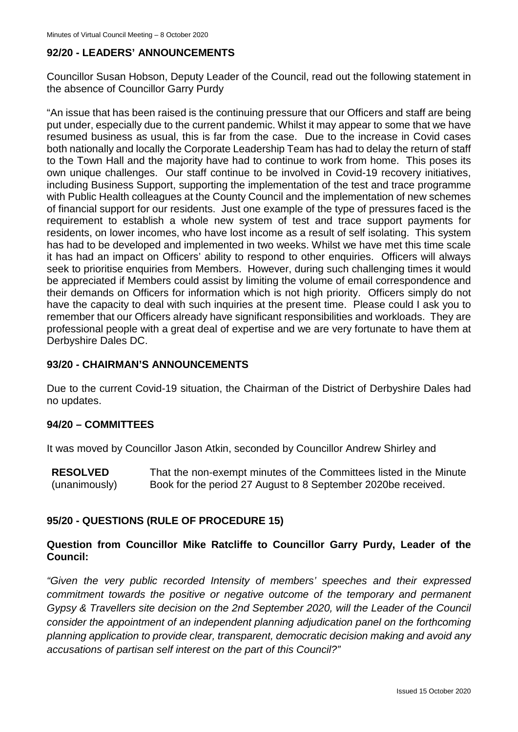# **92/20 - LEADERS' ANNOUNCEMENTS**

Councillor Susan Hobson, Deputy Leader of the Council, read out the following statement in the absence of Councillor Garry Purdy

"An issue that has been raised is the continuing pressure that our Officers and staff are being put under, especially due to the current pandemic. Whilst it may appear to some that we have resumed business as usual, this is far from the case. Due to the increase in Covid cases both nationally and locally the Corporate Leadership Team has had to delay the return of staff to the Town Hall and the majority have had to continue to work from home. This poses its own unique challenges. Our staff continue to be involved in Covid-19 recovery initiatives, including Business Support, supporting the implementation of the test and trace programme with Public Health colleagues at the County Council and the implementation of new schemes of financial support for our residents. Just one example of the type of pressures faced is the requirement to establish a whole new system of test and trace support payments for residents, on lower incomes, who have lost income as a result of self isolating. This system has had to be developed and implemented in two weeks. Whilst we have met this time scale it has had an impact on Officers' ability to respond to other enquiries. Officers will always seek to prioritise enquiries from Members. However, during such challenging times it would be appreciated if Members could assist by limiting the volume of email correspondence and their demands on Officers for information which is not high priority. Officers simply do not have the capacity to deal with such inquiries at the present time. Please could I ask you to remember that our Officers already have significant responsibilities and workloads. They are professional people with a great deal of expertise and we are very fortunate to have them at Derbyshire Dales DC.

#### **93/20 - CHAIRMAN'S ANNOUNCEMENTS**

Due to the current Covid-19 situation, the Chairman of the District of Derbyshire Dales had no updates.

# **94/20 – COMMITTEES**

It was moved by Councillor Jason Atkin, seconded by Councillor Andrew Shirley and

**RESOLVED** (unanimously) That the non-exempt minutes of the Committees listed in the Minute Book for the period 27 August to 8 September 2020be received.

# **95/20 - QUESTIONS (RULE OF PROCEDURE 15)**

# **Question from Councillor Mike Ratcliffe to Councillor Garry Purdy, Leader of the Council:**

*"Given the very public recorded Intensity of members' speeches and their expressed commitment towards the positive or negative outcome of the temporary and permanent Gypsy & Travellers site decision on the 2nd September 2020, will the Leader of the Council consider the appointment of an independent planning adjudication panel on the forthcoming planning application to provide clear, transparent, democratic decision making and avoid any accusations of partisan self interest on the part of this Council?"*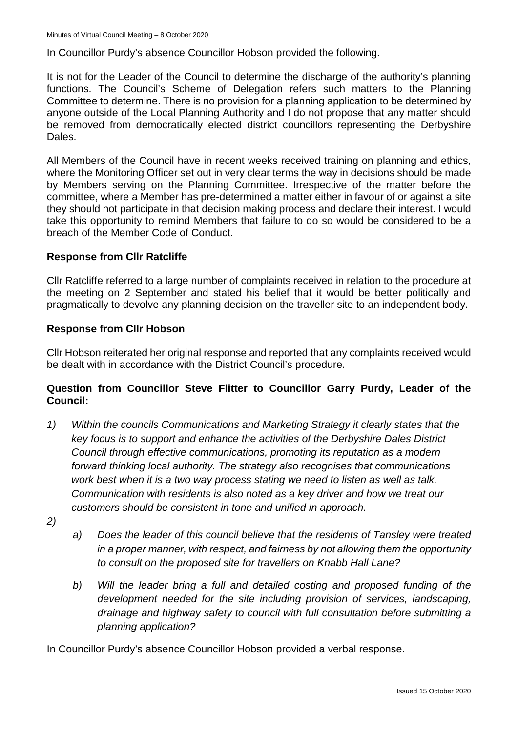In Councillor Purdy's absence Councillor Hobson provided the following.

It is not for the Leader of the Council to determine the discharge of the authority's planning functions. The Council's Scheme of Delegation refers such matters to the Planning Committee to determine. There is no provision for a planning application to be determined by anyone outside of the Local Planning Authority and I do not propose that any matter should be removed from democratically elected district councillors representing the Derbyshire Dales.

All Members of the Council have in recent weeks received training on planning and ethics, where the Monitoring Officer set out in very clear terms the way in decisions should be made by Members serving on the Planning Committee. Irrespective of the matter before the committee, where a Member has pre-determined a matter either in favour of or against a site they should not participate in that decision making process and declare their interest. I would take this opportunity to remind Members that failure to do so would be considered to be a breach of the Member Code of Conduct.

#### **Response from Cllr Ratcliffe**

Cllr Ratcliffe referred to a large number of complaints received in relation to the procedure at the meeting on 2 September and stated his belief that it would be better politically and pragmatically to devolve any planning decision on the traveller site to an independent body.

#### **Response from Cllr Hobson**

Cllr Hobson reiterated her original response and reported that any complaints received would be dealt with in accordance with the District Council's procedure.

# **Question from Councillor Steve Flitter to Councillor Garry Purdy, Leader of the Council:**

- *1) Within the councils Communications and Marketing Strategy it clearly states that the key focus is to support and enhance the activities of the Derbyshire Dales District Council through effective communications, promoting its reputation as a modern forward thinking local authority. The strategy also recognises that communications work best when it is a two way process stating we need to listen as well as talk. Communication with residents is also noted as a key driver and how we treat our customers should be consistent in tone and unified in approach.*
- *2)*
- *a) Does the leader of this council believe that the residents of Tansley were treated in a proper manner, with respect, and fairness by not allowing them the opportunity to consult on the proposed site for travellers on Knabb Hall Lane?*
- *b) Will the leader bring a full and detailed costing and proposed funding of the development needed for the site including provision of services, landscaping, drainage and highway safety to council with full consultation before submitting a planning application?*

In Councillor Purdy's absence Councillor Hobson provided a verbal response.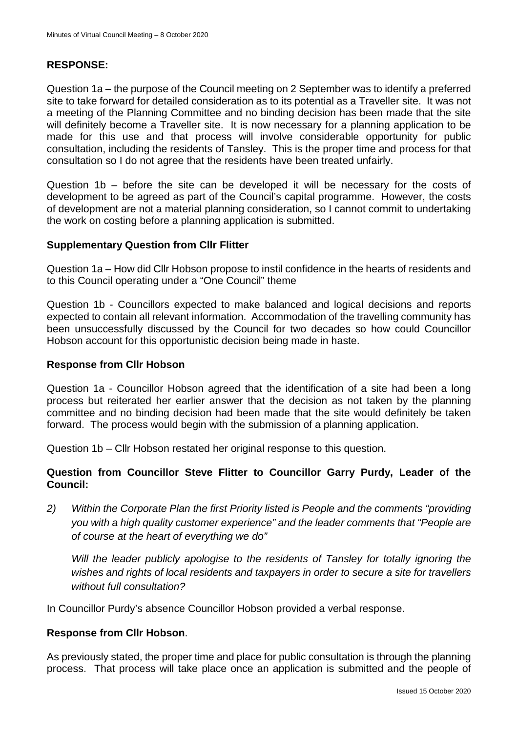# **RESPONSE:**

Question 1a – the purpose of the Council meeting on 2 September was to identify a preferred site to take forward for detailed consideration as to its potential as a Traveller site. It was not a meeting of the Planning Committee and no binding decision has been made that the site will definitely become a Traveller site. It is now necessary for a planning application to be made for this use and that process will involve considerable opportunity for public consultation, including the residents of Tansley. This is the proper time and process for that consultation so I do not agree that the residents have been treated unfairly.

Question 1b – before the site can be developed it will be necessary for the costs of development to be agreed as part of the Council's capital programme. However, the costs of development are not a material planning consideration, so I cannot commit to undertaking the work on costing before a planning application is submitted.

#### **Supplementary Question from Cllr Flitter**

Question 1a – How did Cllr Hobson propose to instil confidence in the hearts of residents and to this Council operating under a "One Council" theme

Question 1b - Councillors expected to make balanced and logical decisions and reports expected to contain all relevant information. Accommodation of the travelling community has been unsuccessfully discussed by the Council for two decades so how could Councillor Hobson account for this opportunistic decision being made in haste.

#### **Response from Cllr Hobson**

Question 1a - Councillor Hobson agreed that the identification of a site had been a long process but reiterated her earlier answer that the decision as not taken by the planning committee and no binding decision had been made that the site would definitely be taken forward. The process would begin with the submission of a planning application.

Question 1b – Cllr Hobson restated her original response to this question.

# **Question from Councillor Steve Flitter to Councillor Garry Purdy, Leader of the Council:**

*2) Within the Corporate Plan the first Priority listed is People and the comments "providing you with a high quality customer experience" and the leader comments that "People are of course at the heart of everything we do"* 

*Will the leader publicly apologise to the residents of Tansley for totally ignoring the wishes and rights of local residents and taxpayers in order to secure a site for travellers without full consultation?*

In Councillor Purdy's absence Councillor Hobson provided a verbal response.

# **Response from Cllr Hobson**.

As previously stated, the proper time and place for public consultation is through the planning process. That process will take place once an application is submitted and the people of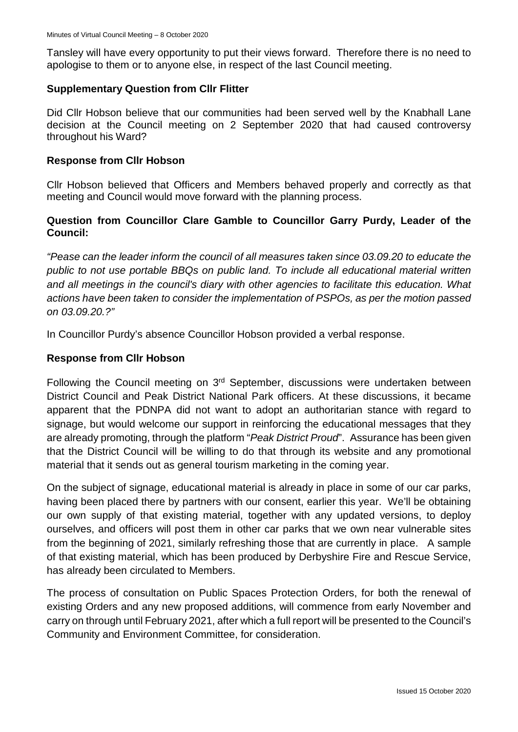Tansley will have every opportunity to put their views forward. Therefore there is no need to apologise to them or to anyone else, in respect of the last Council meeting.

#### **Supplementary Question from Cllr Flitter**

Did Cllr Hobson believe that our communities had been served well by the Knabhall Lane decision at the Council meeting on 2 September 2020 that had caused controversy throughout his Ward?

#### **Response from Cllr Hobson**

Cllr Hobson believed that Officers and Members behaved properly and correctly as that meeting and Council would move forward with the planning process.

# **Question from Councillor Clare Gamble to Councillor Garry Purdy, Leader of the Council:**

*"Pease can the leader inform the council of all measures taken since 03.09.20 to educate the public to not use portable BBQs on public land. To include all educational material written and all meetings in the council's diary with other agencies to facilitate this education. What actions have been taken to consider the implementation of PSPOs, as per the motion passed on 03.09.20.?"*

In Councillor Purdy's absence Councillor Hobson provided a verbal response.

# **Response from Cllr Hobson**

Following the Council meeting on 3<sup>rd</sup> September, discussions were undertaken between District Council and Peak District National Park officers. At these discussions, it became apparent that the PDNPA did not want to adopt an authoritarian stance with regard to signage, but would welcome our support in reinforcing the educational messages that they are already promoting, through the platform "*Peak District Proud*". Assurance has been given that the District Council will be willing to do that through its website and any promotional material that it sends out as general tourism marketing in the coming year.

On the subject of signage, educational material is already in place in some of our car parks, having been placed there by partners with our consent, earlier this year. We'll be obtaining our own supply of that existing material, together with any updated versions, to deploy ourselves, and officers will post them in other car parks that we own near vulnerable sites from the beginning of 2021, similarly refreshing those that are currently in place. A sample of that existing material, which has been produced by Derbyshire Fire and Rescue Service, has already been circulated to Members.

The process of consultation on Public Spaces Protection Orders, for both the renewal of existing Orders and any new proposed additions, will commence from early November and carry on through until February 2021, after which a full report will be presented to the Council's Community and Environment Committee, for consideration.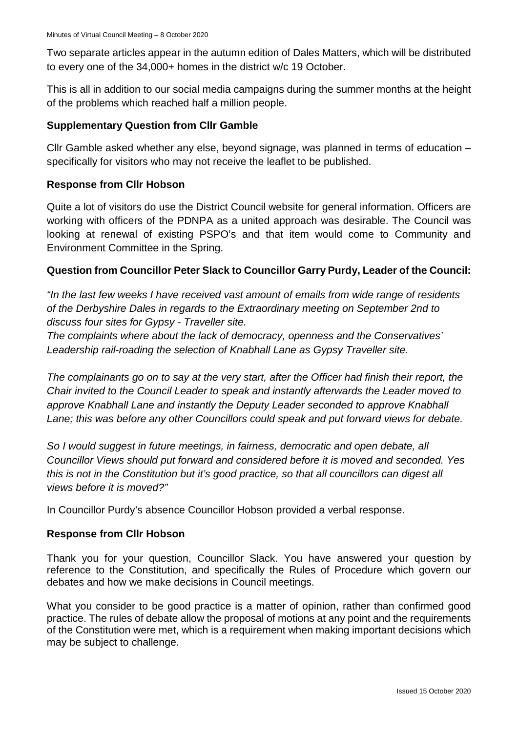Two separate articles appear in the autumn edition of Dales Matters, which will be distributed to every one of the 34,000+ homes in the district w/c 19 October.

This is all in addition to our social media campaigns during the summer months at the height of the problems which reached half a million people.

# **Supplementary Question from Cllr Gamble**

Cllr Gamble asked whether any else, beyond signage, was planned in terms of education – specifically for visitors who may not receive the leaflet to be published.

# **Response from Cllr Hobson**

Quite a lot of visitors do use the District Council website for general information. Officers are working with officers of the PDNPA as a united approach was desirable. The Council was looking at renewal of existing PSPO's and that item would come to Community and Environment Committee in the Spring.

# **Question from Councillor Peter Slack to Councillor Garry Purdy, Leader of the Council:**

*"In the last few weeks I have received vast amount of emails from wide range of residents of the Derbyshire Dales in regards to the Extraordinary meeting on September 2nd to discuss four sites for Gypsy - Traveller site.*

*The complaints where about the lack of democracy, openness and the Conservatives' Leadership rail-roading the selection of Knabhall Lane as Gypsy Traveller site.*

*The complainants go on to say at the very start, after the Officer had finish their report, the Chair invited to the Council Leader to speak and instantly afterwards the Leader moved to approve Knabhall Lane and instantly the Deputy Leader seconded to approve Knabhall Lane; this was before any other Councillors could speak and put forward views for debate.*

*So I would suggest in future meetings, in fairness, democratic and open debate, all Councillor Views should put forward and considered before it is moved and seconded. Yes this is not in the Constitution but it's good practice, so that all councillors can digest all views before it is moved?"*

In Councillor Purdy's absence Councillor Hobson provided a verbal response.

# **Response from Cllr Hobson**

Thank you for your question, Councillor Slack. You have answered your question by reference to the Constitution, and specifically the Rules of Procedure which govern our debates and how we make decisions in Council meetings.

What you consider to be good practice is a matter of opinion, rather than confirmed good practice. The rules of debate allow the proposal of motions at any point and the requirements of the Constitution were met, which is a requirement when making important decisions which may be subject to challenge.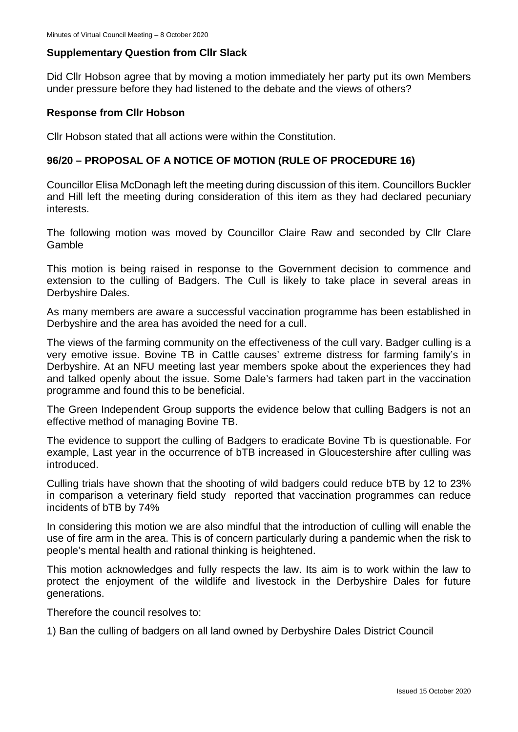#### **Supplementary Question from Cllr Slack**

Did Cllr Hobson agree that by moving a motion immediately her party put its own Members under pressure before they had listened to the debate and the views of others?

#### **Response from Cllr Hobson**

Cllr Hobson stated that all actions were within the Constitution.

#### **96/20 – PROPOSAL OF A NOTICE OF MOTION (RULE OF PROCEDURE 16)**

Councillor Elisa McDonagh left the meeting during discussion of this item. Councillors Buckler and Hill left the meeting during consideration of this item as they had declared pecuniary interests.

The following motion was moved by Councillor Claire Raw and seconded by Cllr Clare Gamble

This motion is being raised in response to the Government decision to commence and extension to the culling of Badgers. The Cull is likely to take place in several areas in Derbyshire Dales.

As many members are aware a successful vaccination programme has been established in Derbyshire and the area has avoided the need for a cull.

The views of the farming community on the effectiveness of the cull vary. Badger culling is a very emotive issue. Bovine TB in Cattle causes' extreme distress for farming family's in Derbyshire. At an NFU meeting last year members spoke about the experiences they had and talked openly about the issue. Some Dale's farmers had taken part in the vaccination programme and found this to be beneficial.

The Green Independent Group supports the evidence below that culling Badgers is not an effective method of managing Bovine TB.

The evidence to support the culling of Badgers to eradicate Bovine Tb is questionable. For example, Last year in the occurrence of bTB increased in Gloucestershire after culling was introduced.

Culling trials have shown that the shooting of wild badgers could reduce bTB by 12 to 23% in comparison a veterinary field study reported that vaccination programmes can reduce incidents of bTB by 74%

In considering this motion we are also mindful that the introduction of culling will enable the use of fire arm in the area. This is of concern particularly during a pandemic when the risk to people's mental health and rational thinking is heightened.

This motion acknowledges and fully respects the law. Its aim is to work within the law to protect the enjoyment of the wildlife and livestock in the Derbyshire Dales for future generations.

Therefore the council resolves to:

1) Ban the culling of badgers on all land owned by Derbyshire Dales District Council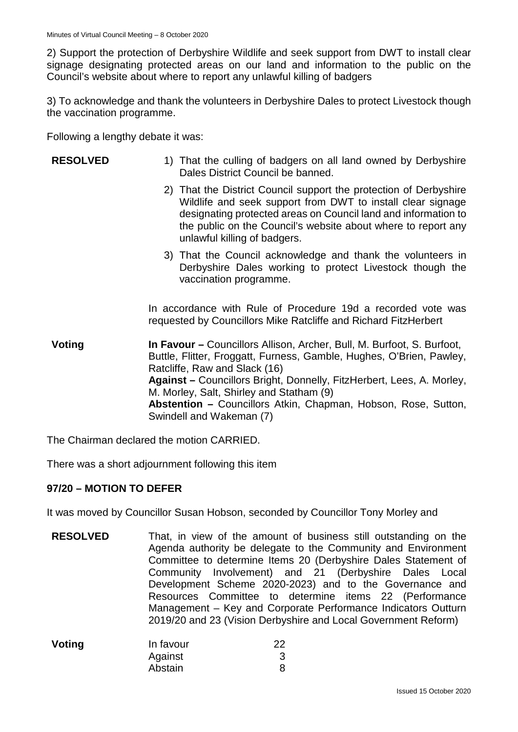2) Support the protection of Derbyshire Wildlife and seek support from DWT to install clear signage designating protected areas on our land and information to the public on the Council's website about where to report any unlawful killing of badgers

3) To acknowledge and thank the volunteers in Derbyshire Dales to protect Livestock though the vaccination programme.

Following a lengthy debate it was:

| <b>RESOLVED</b> | 1) That the culling of badgers on all land owned by Derbyshire<br>Dales District Council be banned.                                                                                                                                                                                                 |
|-----------------|-----------------------------------------------------------------------------------------------------------------------------------------------------------------------------------------------------------------------------------------------------------------------------------------------------|
|                 | 2) That the District Council support the protection of Derbyshire<br>Wildlife and seek support from DWT to install clear signage<br>designating protected areas on Council land and information to<br>the public on the Council's website about where to report any<br>unlawful killing of badgers. |
|                 | 3) That the Council acknowledge and thank the volunteers in<br>Derbyshire Dales working to protect Livestock though the<br>vaccination programme.                                                                                                                                                   |
|                 | In accordance with Rule of Procedure 19d a recorded vote was<br>requested by Councillors Mike Ratcliffe and Richard FitzHerbert                                                                                                                                                                     |
| Voting          | <b>In Favour – Councillors Allison, Archer, Bull, M. Burfoot, S. Burfoot,</b><br>Buttle, Flitter, Froggatt, Furness, Gamble, Hughes, O'Brien, Pawley,                                                                                                                                               |

Ratcliffe, Raw and Slack (16) **Against –** Councillors Bright, Donnelly, FitzHerbert, Lees, A. Morley, M. Morley, Salt, Shirley and Statham (9) **Abstention –** Councillors Atkin, Chapman, Hobson, Rose, Sutton, Swindell and Wakeman (7)

The Chairman declared the motion CARRIED.

There was a short adjournment following this item

# **97/20 – MOTION TO DEFER**

It was moved by Councillor Susan Hobson, seconded by Councillor Tony Morley and

**RESOLVED** That, in view of the amount of business still outstanding on the Agenda authority be delegate to the Community and Environment Committee to determine Items 20 (Derbyshire Dales Statement of Community Involvement) and 21 (Derbyshire Dales Local Development Scheme 2020-2023) and to the Governance and Resources Committee to determine items 22 (Performance Management – Key and Corporate Performance Indicators Outturn 2019/20 and 23 (Vision Derbyshire and Local Government Reform)

| Voting | In favour | 22 |
|--------|-----------|----|
|        | Against   |    |
|        | Abstain   |    |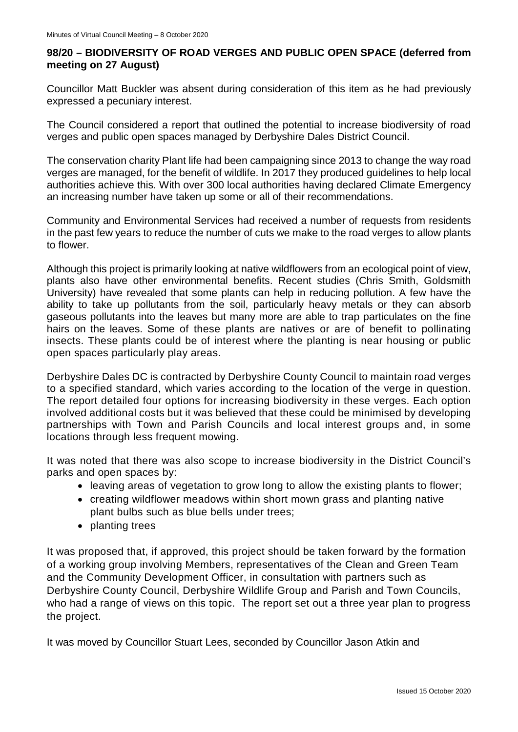# **98/20 – BIODIVERSITY OF ROAD VERGES AND PUBLIC OPEN SPACE (deferred from meeting on 27 August)**

Councillor Matt Buckler was absent during consideration of this item as he had previously expressed a pecuniary interest.

The Council considered a report that outlined the potential to increase biodiversity of road verges and public open spaces managed by Derbyshire Dales District Council.

The conservation charity Plant life had been campaigning since 2013 to change the way road verges are managed, for the benefit of wildlife. In 2017 they produced guidelines to help local authorities achieve this. With over 300 local authorities having declared Climate Emergency an increasing number have taken up some or all of their recommendations.

Community and Environmental Services had received a number of requests from residents in the past few years to reduce the number of cuts we make to the road verges to allow plants to flower.

Although this project is primarily looking at native wildflowers from an ecological point of view, plants also have other environmental benefits. Recent studies (Chris Smith, Goldsmith University) have revealed that some plants can help in reducing pollution. A few have the ability to take up pollutants from the soil, particularly heavy metals or they can absorb gaseous pollutants into the leaves but many more are able to trap particulates on the fine hairs on the leaves. Some of these plants are natives or are of benefit to pollinating insects. These plants could be of interest where the planting is near housing or public open spaces particularly play areas.

Derbyshire Dales DC is contracted by Derbyshire County Council to maintain road verges to a specified standard, which varies according to the location of the verge in question. The report detailed four options for increasing biodiversity in these verges. Each option involved additional costs but it was believed that these could be minimised by developing partnerships with Town and Parish Councils and local interest groups and, in some locations through less frequent mowing.

It was noted that there was also scope to increase biodiversity in the District Council's parks and open spaces by:

- leaving areas of vegetation to grow long to allow the existing plants to flower;
- creating wildflower meadows within short mown grass and planting native plant bulbs such as blue bells under trees;
- planting trees

It was proposed that, if approved, this project should be taken forward by the formation of a working group involving Members, representatives of the Clean and Green Team and the Community Development Officer, in consultation with partners such as Derbyshire County Council, Derbyshire Wildlife Group and Parish and Town Councils, who had a range of views on this topic. The report set out a three year plan to progress the project.

It was moved by Councillor Stuart Lees, seconded by Councillor Jason Atkin and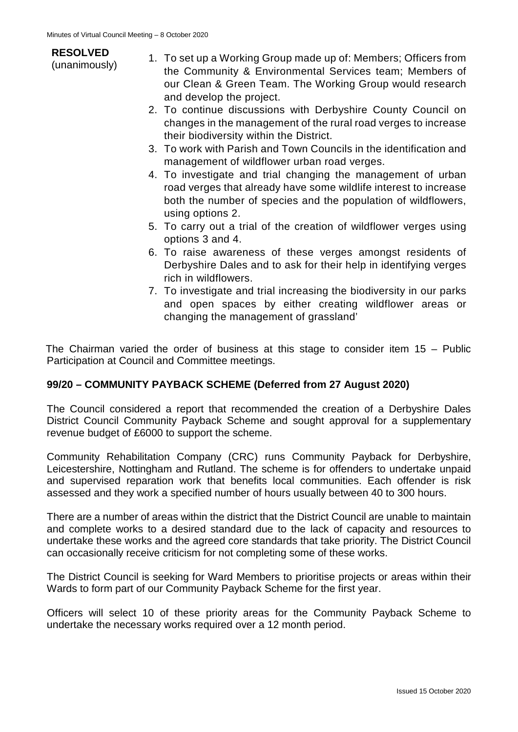| <b>RESOLVED</b><br>(unanimously) | 1. To set up a Working Group made up of: Members; Officers from<br>the Community & Environmental Services team; Members of<br>our Clean & Green Team. The Working Group would research<br>and develop the project. |
|----------------------------------|--------------------------------------------------------------------------------------------------------------------------------------------------------------------------------------------------------------------|
|                                  | 2. To continue discussions with Derbyshire County Council on                                                                                                                                                       |
|                                  | changes in the management of the rural road verges to increase                                                                                                                                                     |

- changes in the management of the rural road verges to increase their biodiversity within the District.
- 3. To work with Parish and Town Councils in the identification and management of wildflower urban road verges.
- 4. To investigate and trial changing the management of urban road verges that already have some wildlife interest to increase both the number of species and the population of wildflowers, using options 2.
- 5. To carry out a trial of the creation of wildflower verges using options 3 and 4.
- 6. To raise awareness of these verges amongst residents of Derbyshire Dales and to ask for their help in identifying verges rich in wildflowers.
- 7. To investigate and trial increasing the biodiversity in our parks and open spaces by either creating wildflower areas or changing the management of grassland'

The Chairman varied the order of business at this stage to consider item 15 – Public Participation at Council and Committee meetings.

# **99/20 – COMMUNITY PAYBACK SCHEME (Deferred from 27 August 2020)**

The Council considered a report that recommended the creation of a Derbyshire Dales District Council Community Payback Scheme and sought approval for a supplementary revenue budget of £6000 to support the scheme.

Community Rehabilitation Company (CRC) runs Community Payback for Derbyshire, Leicestershire, Nottingham and Rutland. The scheme is for offenders to undertake unpaid and supervised reparation work that benefits local communities. Each offender is risk assessed and they work a specified number of hours usually between 40 to 300 hours.

There are a number of areas within the district that the District Council are unable to maintain and complete works to a desired standard due to the lack of capacity and resources to undertake these works and the agreed core standards that take priority. The District Council can occasionally receive criticism for not completing some of these works.

The District Council is seeking for Ward Members to prioritise projects or areas within their Wards to form part of our Community Payback Scheme for the first year.

Officers will select 10 of these priority areas for the Community Payback Scheme to undertake the necessary works required over a 12 month period.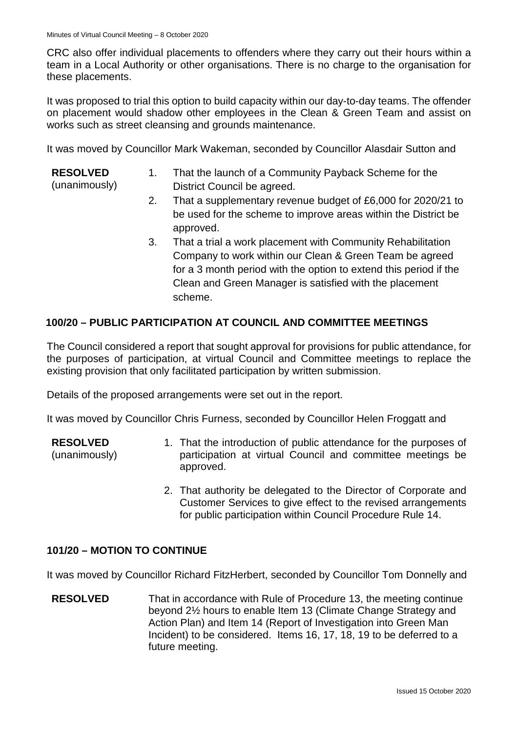CRC also offer individual placements to offenders where they carry out their hours within a team in a Local Authority or other organisations. There is no charge to the organisation for these placements.

It was proposed to trial this option to build capacity within our day-to-day teams. The offender on placement would shadow other employees in the Clean & Green Team and assist on works such as street cleansing and grounds maintenance.

It was moved by Councillor Mark Wakeman, seconded by Councillor Alasdair Sutton and

- **RESOLVED** (unanimously) 1. That the launch of a Community Payback Scheme for the District Council be agreed.
	- 2. That a supplementary revenue budget of £6,000 for 2020/21 to be used for the scheme to improve areas within the District be approved.
	- 3. That a trial a work placement with Community Rehabilitation Company to work within our Clean & Green Team be agreed for a 3 month period with the option to extend this period if the Clean and Green Manager is satisfied with the placement scheme.

# **100/20 – PUBLIC PARTICIPATION AT COUNCIL AND COMMITTEE MEETINGS**

The Council considered a report that sought approval for provisions for public attendance, for the purposes of participation, at virtual Council and Committee meetings to replace the existing provision that only facilitated participation by written submission.

Details of the proposed arrangements were set out in the report.

It was moved by Councillor Chris Furness, seconded by Councillor Helen Froggatt and

**RESOLVED**

(unanimously)

- 1. That the introduction of public attendance for the purposes of participation at virtual Council and committee meetings be approved.
- 2. That authority be delegated to the Director of Corporate and Customer Services to give effect to the revised arrangements for public participation within Council Procedure Rule 14.

# **101/20 – MOTION TO CONTINUE**

It was moved by Councillor Richard FitzHerbert, seconded by Councillor Tom Donnelly and

**RESOLVED** That in accordance with Rule of Procedure 13, the meeting continue beyond 2½ hours to enable Item 13 (Climate Change Strategy and Action Plan) and Item 14 (Report of Investigation into Green Man Incident) to be considered. Items 16, 17, 18, 19 to be deferred to a future meeting.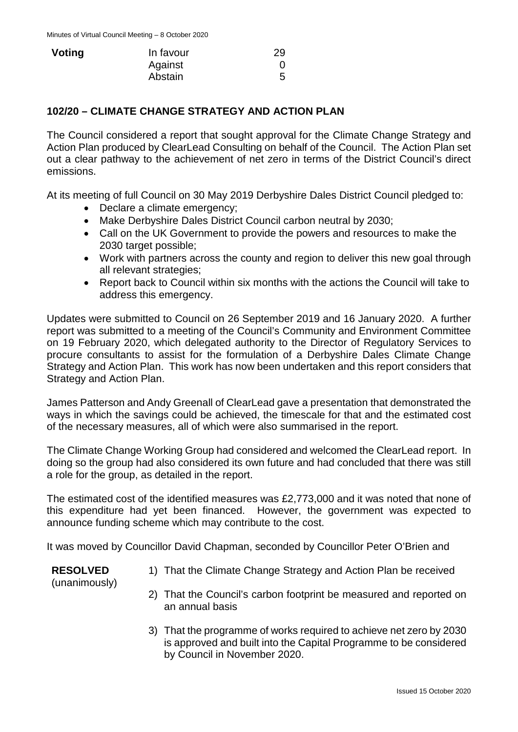| Voting | In favour | 29 |
|--------|-----------|----|
|        | Against   |    |
|        | Abstain   | 5  |

#### **102/20 – CLIMATE CHANGE STRATEGY AND ACTION PLAN**

The Council considered a report that sought approval for the Climate Change Strategy and Action Plan produced by ClearLead Consulting on behalf of the Council. The Action Plan set out a clear pathway to the achievement of net zero in terms of the District Council's direct emissions.

At its meeting of full Council on 30 May 2019 Derbyshire Dales District Council pledged to:

- Declare a climate emergency;
- Make Derbyshire Dales District Council carbon neutral by 2030;
- Call on the UK Government to provide the powers and resources to make the 2030 target possible;
- Work with partners across the county and region to deliver this new goal through all relevant strategies;
- Report back to Council within six months with the actions the Council will take to address this emergency.

Updates were submitted to Council on 26 September 2019 and 16 January 2020. A further report was submitted to a meeting of the Council's Community and Environment Committee on 19 February 2020, which delegated authority to the Director of Regulatory Services to procure consultants to assist for the formulation of a Derbyshire Dales Climate Change Strategy and Action Plan. This work has now been undertaken and this report considers that Strategy and Action Plan.

James Patterson and Andy Greenall of ClearLead gave a presentation that demonstrated the ways in which the savings could be achieved, the timescale for that and the estimated cost of the necessary measures, all of which were also summarised in the report.

The Climate Change Working Group had considered and welcomed the ClearLead report. In doing so the group had also considered its own future and had concluded that there was still a role for the group, as detailed in the report.

The estimated cost of the identified measures was £2,773,000 and it was noted that none of this expenditure had yet been financed. However, the government was expected to announce funding scheme which may contribute to the cost.

It was moved by Councillor David Chapman, seconded by Councillor Peter O'Brien and

#### **RESOLVED**

1) That the Climate Change Strategy and Action Plan be received

(unanimously)

- 2) That the Council's carbon footprint be measured and reported on an annual basis
- 3) That the programme of works required to achieve net zero by 2030 is approved and built into the Capital Programme to be considered by Council in November 2020.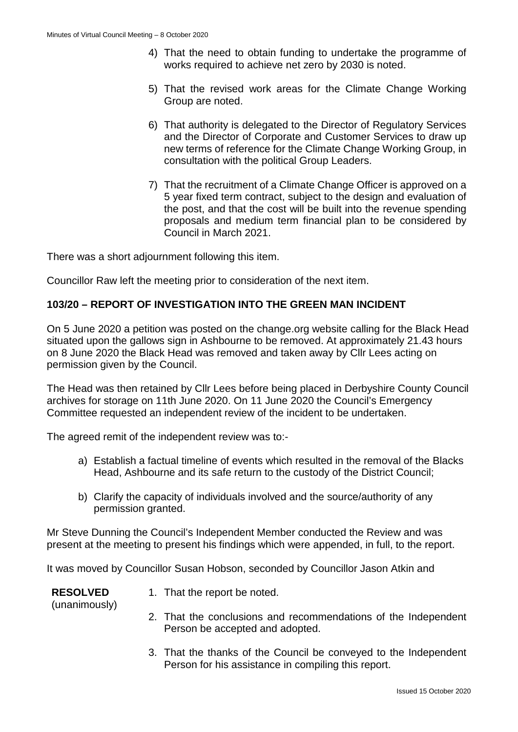- 4) That the need to obtain funding to undertake the programme of works required to achieve net zero by 2030 is noted.
- 5) That the revised work areas for the Climate Change Working Group are noted.
- 6) That authority is delegated to the Director of Regulatory Services and the Director of Corporate and Customer Services to draw up new terms of reference for the Climate Change Working Group, in consultation with the political Group Leaders.
- 7) That the recruitment of a Climate Change Officer is approved on a 5 year fixed term contract, subject to the design and evaluation of the post, and that the cost will be built into the revenue spending proposals and medium term financial plan to be considered by Council in March 2021.

There was a short adjournment following this item.

Councillor Raw left the meeting prior to consideration of the next item.

# **103/20 – REPORT OF INVESTIGATION INTO THE GREEN MAN INCIDENT**

On 5 June 2020 a petition was posted on the change.org website calling for the Black Head situated upon the gallows sign in Ashbourne to be removed. At approximately 21.43 hours on 8 June 2020 the Black Head was removed and taken away by Cllr Lees acting on permission given by the Council.

The Head was then retained by Cllr Lees before being placed in Derbyshire County Council archives for storage on 11th June 2020. On 11 June 2020 the Council's Emergency Committee requested an independent review of the incident to be undertaken.

The agreed remit of the independent review was to:-

- a) Establish a factual timeline of events which resulted in the removal of the Blacks Head, Ashbourne and its safe return to the custody of the District Council;
- b) Clarify the capacity of individuals involved and the source/authority of any permission granted.

Mr Steve Dunning the Council's Independent Member conducted the Review and was present at the meeting to present his findings which were appended, in full, to the report.

It was moved by Councillor Susan Hobson, seconded by Councillor Jason Atkin and

#### **RESOLVED** (unanimously)

- 1. That the report be noted.
	- 2. That the conclusions and recommendations of the Independent Person be accepted and adopted.
	- 3. That the thanks of the Council be conveyed to the Independent Person for his assistance in compiling this report.